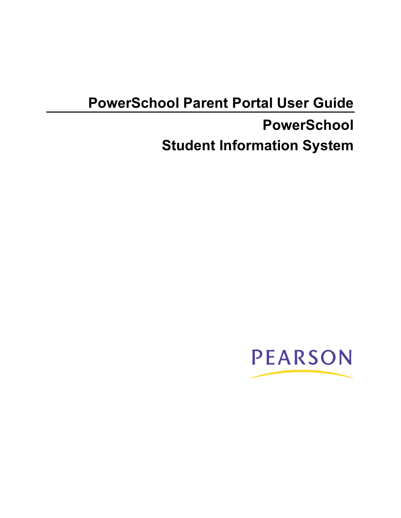# **PowerSchool Parent Portal User Guide**

# **PowerSchool Student Information System**

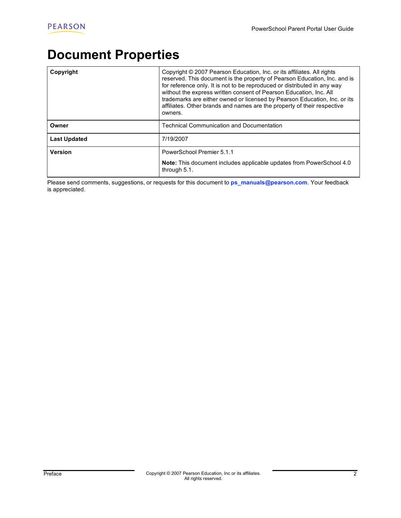## **Document Properties**

| Copyright           | Copyright © 2007 Pearson Education, Inc. or its affiliates. All rights<br>reserved. This document is the property of Pearson Education, Inc. and is<br>for reference only. It is not to be reproduced or distributed in any way<br>without the express written consent of Pearson Education, Inc. All<br>trademarks are either owned or licensed by Pearson Education, Inc. or its<br>affiliates. Other brands and names are the property of their respective<br>owners. |
|---------------------|--------------------------------------------------------------------------------------------------------------------------------------------------------------------------------------------------------------------------------------------------------------------------------------------------------------------------------------------------------------------------------------------------------------------------------------------------------------------------|
| Owner               | <b>Technical Communication and Documentation</b>                                                                                                                                                                                                                                                                                                                                                                                                                         |
| <b>Last Updated</b> | 7/19/2007                                                                                                                                                                                                                                                                                                                                                                                                                                                                |
| <b>Version</b>      | PowerSchool Premier 5.1.1<br><b>Note:</b> This document includes applicable updates from PowerSchool 4.0<br>through 5.1.                                                                                                                                                                                                                                                                                                                                                 |

Please send comments, suggestions, or requests for this document to **ps\_manuals@pearson.com**. Your feedback is appreciated.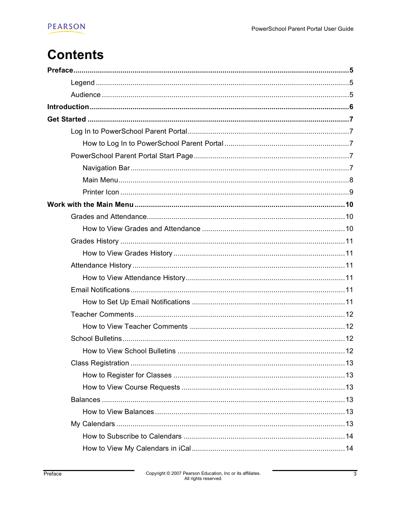## **Contents**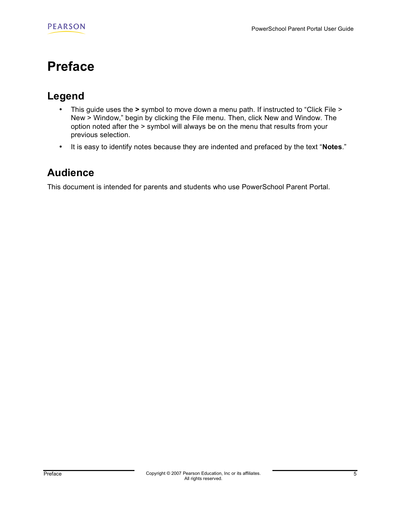## **Preface**

## **Legend**

- This guide uses the **>** symbol to move down a menu path. If instructed to "Click File > New > Window," begin by clicking the File menu. Then, click New and Window. The option noted after the > symbol will always be on the menu that results from your previous selection.
- It is easy to identify notes because they are indented and prefaced by the text "**Notes**."

### **Audience**

This document is intended for parents and students who use PowerSchool Parent Portal.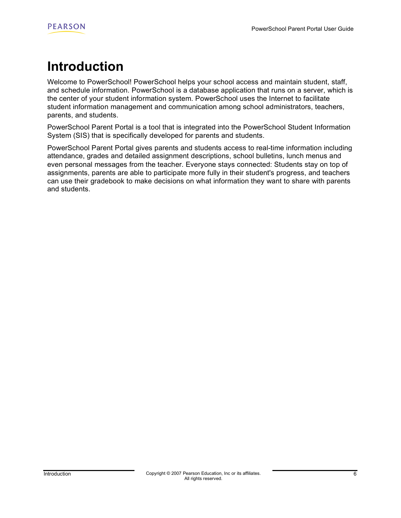## **Introduction**

Welcome to PowerSchool! PowerSchool helps your school access and maintain student, staff, and schedule information. PowerSchool is a database application that runs on a server, which is the center of your student information system. PowerSchool uses the Internet to facilitate student information management and communication among school administrators, teachers, parents, and students.

PowerSchool Parent Portal is a tool that is integrated into the PowerSchool Student Information System (SIS) that is specifically developed for parents and students.

PowerSchool Parent Portal gives parents and students access to real-time information including attendance, grades and detailed assignment descriptions, school bulletins, lunch menus and even personal messages from the teacher. Everyone stays connected: Students stay on top of assignments, parents are able to participate more fully in their student's progress, and teachers can use their gradebook to make decisions on what information they want to share with parents and students.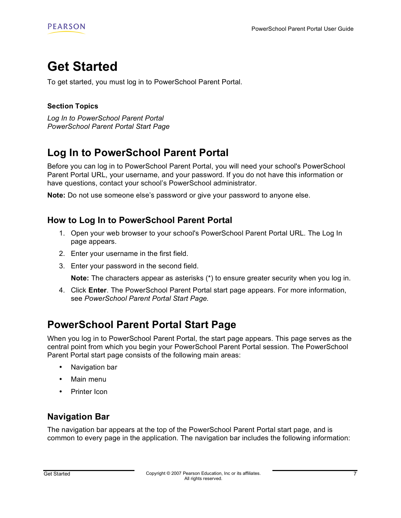## **Get Started**

To get started, you must log in to PowerSchool Parent Portal.

#### **Section Topics**

*Log In to PowerSchool Parent Portal PowerSchool Parent Portal Start Page*

## **Log In to PowerSchool Parent Portal**

Before you can log in to PowerSchool Parent Portal, you will need your school's PowerSchool Parent Portal URL, your username, and your password. If you do not have this information or have questions, contact your school's PowerSchool administrator.

**Note:** Do not use someone else's password or give your password to anyone else.

#### **How to Log In to PowerSchool Parent Portal**

- 1. Open your web browser to your school's PowerSchool Parent Portal URL. The Log In page appears.
- 2. Enter your username in the first field.
- 3. Enter your password in the second field.

**Note:** The characters appear as asterisks (\*) to ensure greater security when you log in.

4. Click **Enter**. The PowerSchool Parent Portal start page appears. For more information, see *PowerSchool Parent Portal Start Page.*

### **PowerSchool Parent Portal Start Page**

When you log in to PowerSchool Parent Portal, the start page appears. This page serves as the central point from which you begin your PowerSchool Parent Portal session. The PowerSchool Parent Portal start page consists of the following main areas:

- Navigation bar
- Main menu
- Printer Icon

#### **Navigation Bar**

The navigation bar appears at the top of the PowerSchool Parent Portal start page, and is common to every page in the application. The navigation bar includes the following information: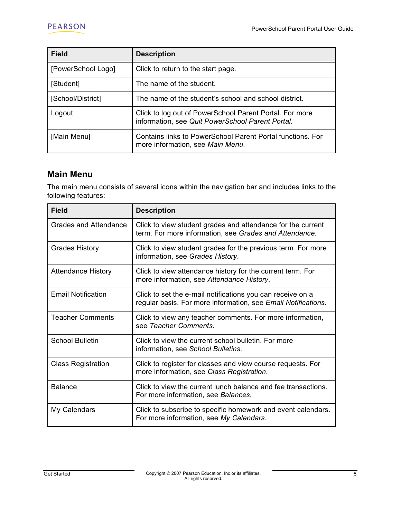| <b>Field</b>       | <b>Description</b>                                                                                          |
|--------------------|-------------------------------------------------------------------------------------------------------------|
| [PowerSchool Logo] | Click to return to the start page.                                                                          |
| [Student]          | The name of the student.                                                                                    |
| [School/District]  | The name of the student's school and school district.                                                       |
| Logout             | Click to log out of PowerSchool Parent Portal. For more<br>information, see Quit PowerSchool Parent Portal. |
| [Main Menu]        | Contains links to PowerSchool Parent Portal functions. For<br>more information, see Main Menu.              |

#### **Main Menu**

The main menu consists of several icons within the navigation bar and includes links to the following features:

| <b>Field</b>              | <b>Description</b>                                                                                                          |
|---------------------------|-----------------------------------------------------------------------------------------------------------------------------|
| Grades and Attendance     | Click to view student grades and attendance for the current<br>term. For more information, see Grades and Attendance.       |
| <b>Grades History</b>     | Click to view student grades for the previous term. For more<br>information, see Grades History.                            |
| <b>Attendance History</b> | Click to view attendance history for the current term. For<br>more information, see Attendance History.                     |
| <b>Email Notification</b> | Click to set the e-mail notifications you can receive on a<br>regular basis. For more information, see Email Notifications. |
| <b>Teacher Comments</b>   | Click to view any teacher comments. For more information,<br>see Teacher Comments.                                          |
| <b>School Bulletin</b>    | Click to view the current school bulletin. For more<br>information, see School Bulletins.                                   |
| <b>Class Registration</b> | Click to register for classes and view course requests. For<br>more information, see Class Registration.                    |
| <b>Balance</b>            | Click to view the current lunch balance and fee transactions.<br>For more information, see Balances.                        |
| My Calendars              | Click to subscribe to specific homework and event calendars.<br>For more information, see My Calendars.                     |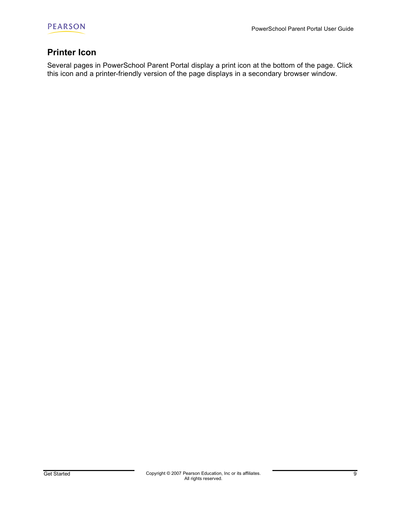

#### **Printer Icon**

Several pages in PowerSchool Parent Portal display a print icon at the bottom of the page. Click this icon and a printer-friendly version of the page displays in a secondary browser window.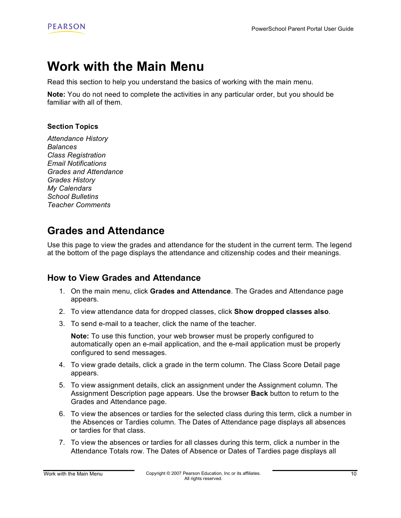## **Work with the Main Menu**

Read this section to help you understand the basics of working with the main menu.

**Note:** You do not need to complete the activities in any particular order, but you should be familiar with all of them.

#### **Section Topics**

*Attendance History Balances Class Registration Email Notifications Grades and Attendance Grades History My Calendars School Bulletins Teacher Comments*

### **Grades and Attendance**

Use this page to view the grades and attendance for the student in the current term. The legend at the bottom of the page displays the attendance and citizenship codes and their meanings.

#### **How to View Grades and Attendance**

- 1. On the main menu, click **Grades and Attendance**. The Grades and Attendance page appears.
- 2. To view attendance data for dropped classes, click **Show dropped classes also**.
- 3. To send e-mail to a teacher, click the name of the teacher.

**Note:** To use this function, your web browser must be properly configured to automatically open an e-mail application, and the e-mail application must be properly configured to send messages.

- 4. To view grade details, click a grade in the term column. The Class Score Detail page appears.
- 5. To view assignment details, click an assignment under the Assignment column. The Assignment Description page appears. Use the browser **Back** button to return to the Grades and Attendance page.
- 6. To view the absences or tardies for the selected class during this term, click a number in the Absences or Tardies column. The Dates of Attendance page displays all absences or tardies for that class.
- 7. To view the absences or tardies for all classes during this term, click a number in the Attendance Totals row. The Dates of Absence or Dates of Tardies page displays all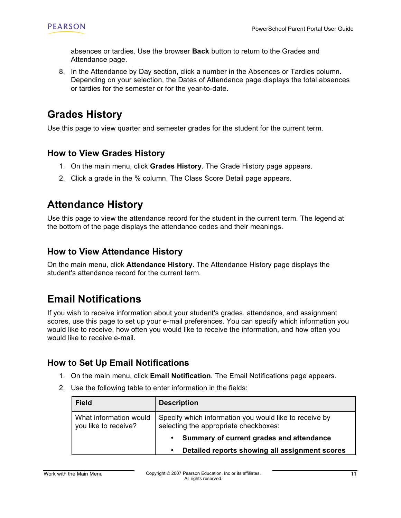absences or tardies. Use the browser **Back** button to return to the Grades and Attendance page.

8. In the Attendance by Day section, click a number in the Absences or Tardies column. Depending on your selection, the Dates of Attendance page displays the total absences or tardies for the semester or for the year-to-date.

### **Grades History**

Use this page to view quarter and semester grades for the student for the current term.

#### **How to View Grades History**

- 1. On the main menu, click **Grades History**. The Grade History page appears.
- 2. Click a grade in the % column. The Class Score Detail page appears.

## **Attendance History**

Use this page to view the attendance record for the student in the current term. The legend at the bottom of the page displays the attendance codes and their meanings.

#### **How to View Attendance History**

On the main menu, click **Attendance History**. The Attendance History page displays the student's attendance record for the current term.

## **Email Notifications**

If you wish to receive information about your student's grades, attendance, and assignment scores, use this page to set up your e-mail preferences. You can specify which information you would like to receive, how often you would like to receive the information, and how often you would like to receive e-mail.

#### **How to Set Up Email Notifications**

- 1. On the main menu, click **Email Notification**. The Email Notifications page appears.
- 2. Use the following table to enter information in the fields:

| <b>Field</b>                                   | <b>Description</b>                                                                              |
|------------------------------------------------|-------------------------------------------------------------------------------------------------|
| What information would<br>you like to receive? | Specify which information you would like to receive by<br>selecting the appropriate checkboxes: |
|                                                | Summary of current grades and attendance                                                        |
|                                                | Detailed reports showing all assignment scores                                                  |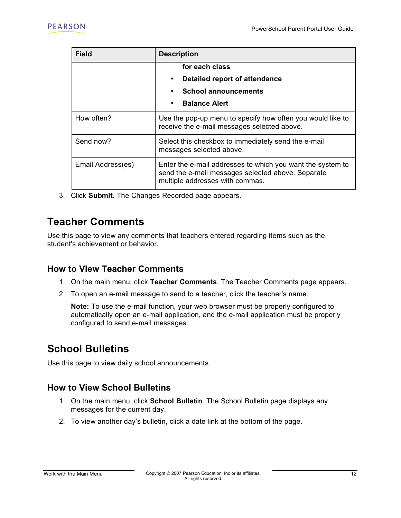| <b>Field</b>      | <b>Description</b>                                                                                                                                 |
|-------------------|----------------------------------------------------------------------------------------------------------------------------------------------------|
|                   | for each class                                                                                                                                     |
|                   | Detailed report of attendance<br>$\bullet$                                                                                                         |
|                   | <b>School announcements</b><br>$\bullet$                                                                                                           |
|                   | <b>Balance Alert</b><br>$\bullet$                                                                                                                  |
| How often?        | Use the pop-up menu to specify how often you would like to<br>receive the e-mail messages selected above.                                          |
| Send now?         | Select this checkbox to immediately send the e-mail<br>messages selected above.                                                                    |
| Email Address(es) | Enter the e-mail addresses to which you want the system to<br>send the e-mail messages selected above. Separate<br>multiple addresses with commas. |

3. Click **Submit**. The Changes Recorded page appears.

## **Teacher Comments**

Use this page to view any comments that teachers entered regarding items such as the student's achievement or behavior.

#### **How to View Teacher Comments**

- 1. On the main menu, click **Teacher Comments**. The Teacher Comments page appears.
- 2. To open an e-mail message to send to a teacher, click the teacher's name.

**Note:** To use the e-mail function, your web browser must be properly configured to automatically open an e-mail application, and the e-mail application must be properly configured to send e-mail messages.

## **School Bulletins**

Use this page to view daily school announcements.

#### **How to View School Bulletins**

- 1. On the main menu, click **School Bulletin**. The School Bulletin page displays any messages for the current day.
- 2. To view another day's bulletin, click a date link at the bottom of the page.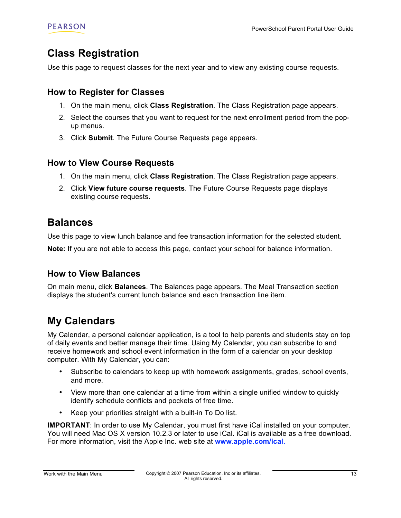### **Class Registration**

Use this page to request classes for the next year and to view any existing course requests.

#### **How to Register for Classes**

- 1. On the main menu, click **Class Registration**. The Class Registration page appears.
- 2. Select the courses that you want to request for the next enrollment period from the popup menus.
- 3. Click **Submit**. The Future Course Requests page appears.

#### **How to View Course Requests**

- 1. On the main menu, click **Class Registration**. The Class Registration page appears.
- 2. Click **View future course requests**. The Future Course Requests page displays existing course requests.

### **Balances**

Use this page to view lunch balance and fee transaction information for the selected student.

**Note:** If you are not able to access this page, contact your school for balance information.

#### **How to View Balances**

On main menu, click **Balances**. The Balances page appears. The Meal Transaction section displays the student's current lunch balance and each transaction line item.

## **My Calendars**

My Calendar, a personal calendar application, is a tool to help parents and students stay on top of daily events and better manage their time. Using My Calendar, you can subscribe to and receive homework and school event information in the form of a calendar on your desktop computer. With My Calendar, you can:

- Subscribe to calendars to keep up with homework assignments, grades, school events, and more.
- View more than one calendar at a time from within a single unified window to quickly identify schedule conflicts and pockets of free time.
- Keep your priorities straight with a built-in To Do list.

**IMPORTANT:** In order to use My Calendar, you must first have iCal installed on your computer. You will need Mac OS X version 10.2.3 or later to use iCal. iCal is available as a free download. For more information, visit the Apple Inc. web site at **www.apple.com/ical.**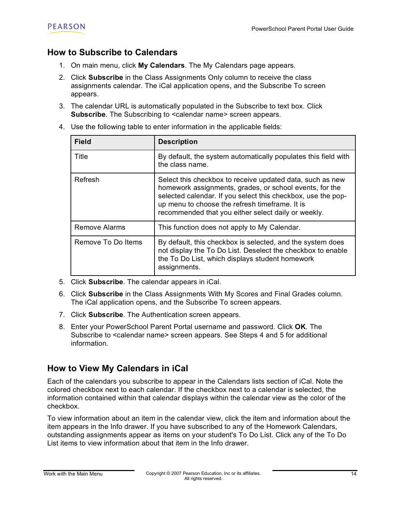#### **How to Subscribe to Calendars**

- 1. On main menu, click **My Calendars**. The My Calendars page appears.
- 2. Click **Subscribe** in the Class Assignments Only column to receive the class assignments calendar. The iCal application opens, and the Subscribe To screen appears.
- 3. The calendar URL is automatically populated in the Subscribe to text box. Click Subscribe. The Subscribing to <calendar name> screen appears.
- 4. Use the following table to enter information in the applicable fields:

| <b>Field</b>         | <b>Description</b>                                                                                                                                                                                                                                                                            |
|----------------------|-----------------------------------------------------------------------------------------------------------------------------------------------------------------------------------------------------------------------------------------------------------------------------------------------|
| Title                | By default, the system automatically populates this field with<br>the class name.                                                                                                                                                                                                             |
| Refresh              | Select this checkbox to receive updated data, such as new<br>homework assignments, grades, or school events, for the<br>selected calendar. If you select this checkbox, use the pop-<br>up menu to choose the refresh timeframe. It is<br>recommended that you either select daily or weekly. |
| <b>Remove Alarms</b> | This function does not apply to My Calendar.                                                                                                                                                                                                                                                  |
| Remove To Do Items   | By default, this checkbox is selected, and the system does<br>not display the To Do List. Deselect the checkbox to enable<br>the To Do List, which displays student homework<br>assignments.                                                                                                  |

- 5. Click **Subscribe**. The calendar appears in iCal.
- 6. Click **Subscribe** in the Class Assignments With My Scores and Final Grades column. The iCal application opens, and the Subscribe To screen appears.
- 7. Click **Subscribe**. The Authentication screen appears.
- 8. Enter your PowerSchool Parent Portal username and password. Click **OK**. The Subscribe to <calendar name> screen appears. See Steps 4 and 5 for additional information.

#### **How to View My Calendars in iCal**

Each of the calendars you subscribe to appear in the Calendars lists section of iCal. Note the colored checkbox next to each calendar. If the checkbox next to a calendar is selected, the information contained within that calendar displays within the calendar view as the color of the checkbox.

To view information about an item in the calendar view, click the item and information about the item appears in the Info drawer. If you have subscribed to any of the Homework Calendars, outstanding assignments appear as items on your student's To Do List. Click any of the To Do List items to view information about that item in the Info drawer.